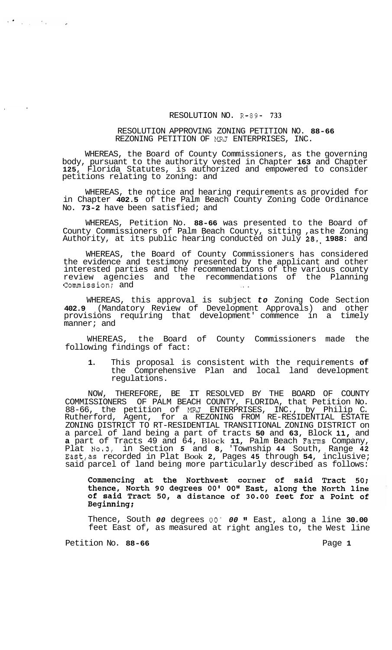## RESOLUTION NO. R-89- **733**

## RESOLUTION APPROVING ZONING PETITION NO. **88-66**  REZONING PETITION OF MRJ ENTERPRISES, INC.

WHEREAS, the Board of County Commissioners, as the governing body, pursuant to the authority vested in Chapter **163** and Chapter **125,** Florida Statutes, is authorized and empowered to consider petitions relating to zoning: and

WHEREAS, the notice and hearing requirements as provided for in Chapter **402.5** of the Palm Beach County Zoning Code Ordinance No. **73-2** have been satisfied; and

WHEREAS, Petition No. **88-66** was presented to the Board of County Commissioners of Palm Beach County, sitting ,as the Zoning Authority, at its public hearing conducted on July **28,\$ 1988:** and

WHEREAS, the Board of County Commissioners has considered the evidence and testimony presented by the applicant and other interested parties and the recommendations of the various county review agencies and the recommendations of the Planning Commission; and

WHEREAS, this approval is subject *to* Zoning Code Section **402.9** (Mandatory Review of Development Approvals) and other provisions requiring that development' commence in a timely manner; and

WHEREAS, the Board of County Commissioners made the following findings of fact:

**1.** This proposal is consistent with the requirements **of**  the Comprehensive Plan and local land development regulations.

NOW, THEREFORE, BE IT RESOLVED BY THE BOARD OF COUNTY COMMISSIONERS OF PALM BEACH COUNTY, FLORIDA, that Petition No. 88-66, the petition of MRJ ENTERPRISES, INC., by Philip C. Rutherford, Agent, for a REZONING FROM RE-RESIDENTIAL ESTATE ZONING DISTRICT TO RT-RESIDENTIAL TRANSITIONAL ZONING DISTRICT on a parcel of land being a part of tracts **50** and **63,** Block **11,.** and **a** part of Tracts 49 and 64, Block **11,** Palm Beach Farms Company, Plat **N0.3,** in Section *5* and **8,** 'Township **44** South, Range **42**  East,as recorded in Plat Book **2,** Pages **45** through **54,** inclusive; said parcel of land being more particularly described as follows:

Commencing at the Northwest corner of said Tract 50; thence, North 90 degrees 00' 00" East, along the North line<br>of said Tract 50, a distance of 30.00 feet for a Point of Beginning;

Thence, South *00* degrees *00' 00* **It** East, along a line **30.00**  feet East of, as measured at right angles to, the West line

Petition No. 88-66 **Page 1 Page 1** 

 $\label{eq:R1} \nabla_{\mathbf{a}} \nabla_{\mathbf{a}} \nabla_{\mathbf{a}} \nabla_{\mathbf{a}} \nabla_{\mathbf{a}} \nabla_{\mathbf{a}} \nabla_{\mathbf{a}} \nabla_{\mathbf{a}} \nabla_{\mathbf{a}} \nabla_{\mathbf{a}} \nabla_{\mathbf{a}} \nabla_{\mathbf{a}} \nabla_{\mathbf{a}}$